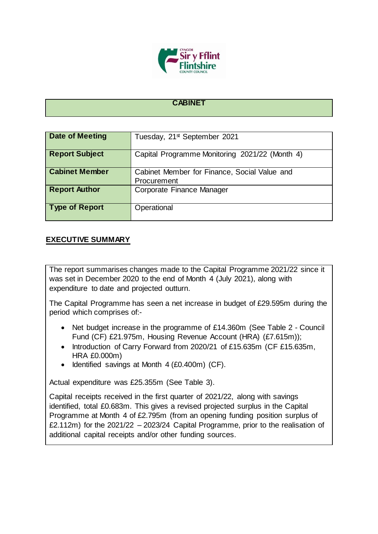

## **CABINET**

| <b>Date of Meeting</b> | Tuesday, 21 <sup>st</sup> September 2021                    |
|------------------------|-------------------------------------------------------------|
| <b>Report Subject</b>  | Capital Programme Monitoring 2021/22 (Month 4)              |
| <b>Cabinet Member</b>  | Cabinet Member for Finance, Social Value and<br>Procurement |
| <b>Report Author</b>   | Corporate Finance Manager                                   |
| <b>Type of Report</b>  | Operational                                                 |

## **EXECUTIVE SUMMARY**

The report summarises changes made to the Capital Programme 2021/22 since it was set in December 2020 to the end of Month 4 (July 2021), along with expenditure to date and projected outturn.

The Capital Programme has seen a net increase in budget of £29.595m during the period which comprises of:-

- Net budget increase in the programme of £14.360m (See Table 2 Council Fund (CF) £21.975m, Housing Revenue Account (HRA) (£7.615m));
- Introduction of Carry Forward from 2020/21 of £15.635m (CF £15.635m, HRA £0.000m)
- $\bullet$  Identified savings at Month 4 (£0.400m) (CF).

Actual expenditure was £25.355m (See Table 3).

Capital receipts received in the first quarter of 2021/22, along with savings identified, total £0.683m. This gives a revised projected surplus in the Capital Programme at Month 4 of £2.795m (from an opening funding position surplus of £2.112m) for the 2021/22 – 2023/24 Capital Programme, prior to the realisation of additional capital receipts and/or other funding sources.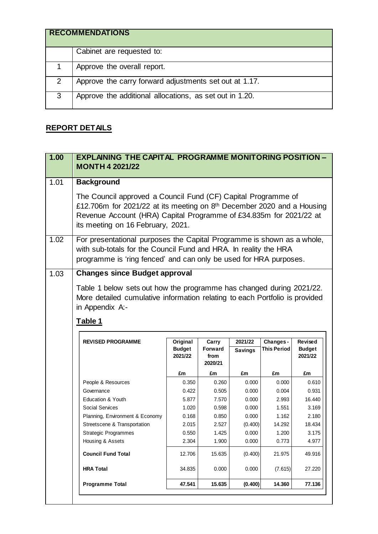|   | <b>RECOMMENDATIONS</b>                                  |
|---|---------------------------------------------------------|
|   | Cabinet are requested to:                               |
|   | Approve the overall report.                             |
| 2 | Approve the carry forward adjustments set out at 1.17.  |
| 3 | Approve the additional allocations, as set out in 1.20. |

## **REPORT DETAILS**

|      | <b>EXPLAINING THE CAPITAL PROGRAMME MONITORING POSITION -</b><br><b>MONTH 4 2021/22</b>                                                                                                                                                                        |                          |                                   |                |                    |                                    |
|------|----------------------------------------------------------------------------------------------------------------------------------------------------------------------------------------------------------------------------------------------------------------|--------------------------|-----------------------------------|----------------|--------------------|------------------------------------|
| 1.01 | <b>Background</b>                                                                                                                                                                                                                                              |                          |                                   |                |                    |                                    |
|      | The Council approved a Council Fund (CF) Capital Programme of<br>£12.706m for 2021/22 at its meeting on 8 <sup>th</sup> December 2020 and a Housing<br>Revenue Account (HRA) Capital Programme of £34.835m for 2021/22 at<br>its meeting on 16 February, 2021. |                          |                                   |                |                    |                                    |
| 1.02 | For presentational purposes the Capital Programme is shown as a whole,<br>with sub-totals for the Council Fund and HRA. In reality the HRA<br>programme is 'ring fenced' and can only be used for HRA purposes.                                                |                          |                                   |                |                    |                                    |
| 1.03 | <b>Changes since Budget approval</b>                                                                                                                                                                                                                           |                          |                                   |                |                    |                                    |
|      | Table 1 below sets out how the programme has changed during 2021/22.<br>More detailed cumulative information relating to each Portfolio is provided                                                                                                            |                          |                                   |                |                    |                                    |
|      | in Appendix A:-<br>Table 1                                                                                                                                                                                                                                     |                          |                                   |                |                    |                                    |
|      |                                                                                                                                                                                                                                                                |                          |                                   |                |                    |                                    |
|      | <b>REVISED PROGRAMME</b>                                                                                                                                                                                                                                       | Original                 | Carry                             | 2021/22        | Changes -          | Revised                            |
|      |                                                                                                                                                                                                                                                                | <b>Budget</b><br>2021/22 | <b>Forward</b><br>from<br>2020/21 | <b>Savings</b> | <b>This Period</b> | <b>Budget</b><br>2021/22           |
|      |                                                                                                                                                                                                                                                                | £m                       | £m                                | £m             | £m                 | £m                                 |
|      | People & Resources                                                                                                                                                                                                                                             | 0.350                    | 0.260                             | 0.000          | 0.000              | 0.610                              |
|      | Governance                                                                                                                                                                                                                                                     | 0.422                    | 0.505                             | 0.000          | 0.004              | 0.931                              |
|      | <b>Education &amp; Youth</b>                                                                                                                                                                                                                                   | 5.877                    | 7.570                             | 0.000          | 2.993              | 16.440                             |
|      | Social Services                                                                                                                                                                                                                                                | 1.020                    | 0.598                             | 0.000          | 1.551              | 3.169                              |
|      | Planning, Environment & Economy                                                                                                                                                                                                                                | 0.168                    | 0.850                             | 0.000          | 1.162              | 2.180                              |
|      | Streetscene & Transportation                                                                                                                                                                                                                                   | 2.015                    | 2.527                             | (0.400)        | 14.292             | 18.434                             |
|      | <b>Strategic Programmes</b>                                                                                                                                                                                                                                    | 0.550                    | 1.425                             | 0.000          | 1.200              |                                    |
|      | Housing & Assets                                                                                                                                                                                                                                               | 2.304                    | 1.900                             | 0.000          | 0.773              |                                    |
|      | <b>Council Fund Total</b>                                                                                                                                                                                                                                      | 12.706                   | 15.635                            | (0.400)        | 21.975             |                                    |
|      | <b>HRA Total</b>                                                                                                                                                                                                                                               | 34.835                   | 0.000                             | 0.000          | (7.615)            | 3.175<br>4.977<br>49.916<br>27.220 |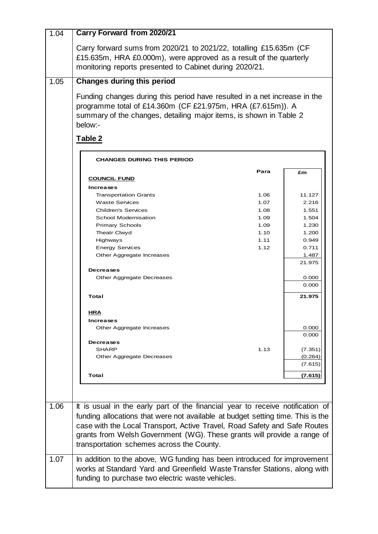| 1.04 | <b>Carry Forward from 2020/21</b>                                                                                                                                                                                                                                                                                                                                      |                      |                               |
|------|------------------------------------------------------------------------------------------------------------------------------------------------------------------------------------------------------------------------------------------------------------------------------------------------------------------------------------------------------------------------|----------------------|-------------------------------|
|      | Carry forward sums from 2020/21 to 2021/22, totalling £15.635m (CF<br>£15.635m, HRA £0.000m), were approved as a result of the quarterly<br>monitoring reports presented to Cabinet during 2020/21.                                                                                                                                                                    |                      |                               |
| 1.05 | <b>Changes during this period</b>                                                                                                                                                                                                                                                                                                                                      |                      |                               |
|      | Funding changes during this period have resulted in a net increase in the<br>programme total of £14.360m (CF £21.975m, HRA (£7.615m)). A<br>summary of the changes, detailing major items, is shown in Table 2<br>below:-<br>Table 2                                                                                                                                   |                      |                               |
|      | <b>CHANGES DURING THIS PERIOD</b>                                                                                                                                                                                                                                                                                                                                      |                      |                               |
|      | <b>COUNCIL FUND</b>                                                                                                                                                                                                                                                                                                                                                    | Para                 | £m                            |
|      | Increases<br><b>Transportation Grants</b><br><b>Waste Services</b>                                                                                                                                                                                                                                                                                                     | 1.06<br>1.07         | 11.127<br>2.216               |
|      | <b>Children's Services</b><br>School Modernisation<br><b>Primary Schools</b>                                                                                                                                                                                                                                                                                           | 1.08<br>1.09<br>1.09 | 1.551<br>1.504<br>1.230       |
|      | Theatr Clwyd<br>Highways                                                                                                                                                                                                                                                                                                                                               | 1.10<br>1.11         | 1.200<br>0.949                |
|      | <b>Energy Services</b><br>Other Aggregate Increases                                                                                                                                                                                                                                                                                                                    | 1.12                 | 0.711<br>1.487<br>21.975      |
|      | <b>Decreases</b><br>Other Aggregate Decreases                                                                                                                                                                                                                                                                                                                          |                      | 0.000<br>0.000                |
|      | Total                                                                                                                                                                                                                                                                                                                                                                  |                      | 21.975                        |
|      | <u>HRA</u>                                                                                                                                                                                                                                                                                                                                                             |                      |                               |
|      | <b>Increases</b><br>Other Aggregate Increases                                                                                                                                                                                                                                                                                                                          |                      | 0.000<br>0.000                |
|      | <b>Decreases</b><br>SHARP<br>Other Aggregate Decreases                                                                                                                                                                                                                                                                                                                 | 1.13                 | (7.351)<br>(0.264)<br>(7.615) |
|      | Total                                                                                                                                                                                                                                                                                                                                                                  |                      | (7.615)                       |
| 1.06 | It is usual in the early part of the financial year to receive notification of<br>funding allocations that were not available at budget setting time. This is the<br>case with the Local Transport, Active Travel, Road Safety and Safe Routes<br>grants from Welsh Government (WG). These grants will provide a range of<br>transportation schemes across the County. |                      |                               |
| 1.07 | In addition to the above, WG funding has been introduced for improvement<br>works at Standard Yard and Greenfield Waste Transfer Stations, along with<br>funding to purchase two electric waste vehicles.                                                                                                                                                              |                      |                               |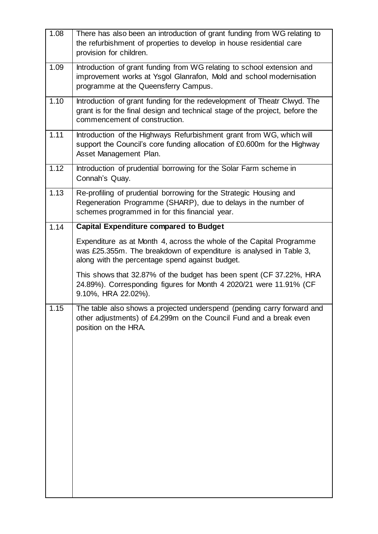| 1.08 | There has also been an introduction of grant funding from WG relating to<br>the refurbishment of properties to develop in house residential care<br>provision for children.                   |
|------|-----------------------------------------------------------------------------------------------------------------------------------------------------------------------------------------------|
| 1.09 | Introduction of grant funding from WG relating to school extension and<br>improvement works at Ysgol Glanrafon, Mold and school modernisation<br>programme at the Queensferry Campus.         |
| 1.10 | Introduction of grant funding for the redevelopment of Theatr Clwyd. The<br>grant is for the final design and technical stage of the project, before the<br>commencement of construction.     |
| 1.11 | Introduction of the Highways Refurbishment grant from WG, which will<br>support the Council's core funding allocation of £0.600m for the Highway<br>Asset Management Plan.                    |
| 1.12 | Introduction of prudential borrowing for the Solar Farm scheme in<br>Connah's Quay.                                                                                                           |
| 1.13 | Re-profiling of prudential borrowing for the Strategic Housing and<br>Regeneration Programme (SHARP), due to delays in the number of<br>schemes programmed in for this financial year.        |
| 1.14 | <b>Capital Expenditure compared to Budget</b>                                                                                                                                                 |
|      | Expenditure as at Month 4, across the whole of the Capital Programme<br>was £25.355m. The breakdown of expenditure is analysed in Table 3,<br>along with the percentage spend against budget. |
|      | This shows that 32.87% of the budget has been spent (CF 37.22%, HRA<br>24.89%). Corresponding figures for Month 4 2020/21 were 11.91% (CF<br>9.10%, HRA 22.02%).                              |
| 1.15 | The table also shows a projected underspend (pending carry forward and<br>other adjustments) of £4.299m on the Council Fund and a break even<br>position on the HRA.                          |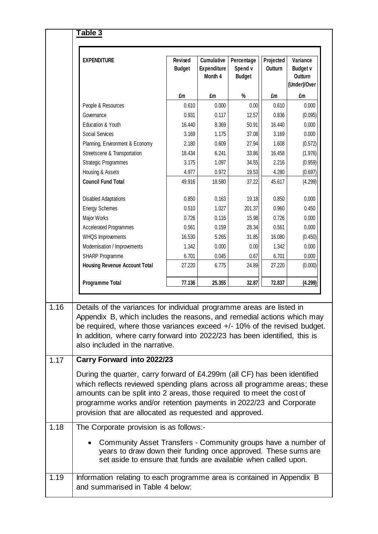|      | <b>EXPENDITURE</b>                                                                                                                                                                                                                                                                                                                           | Revised<br><b>Budget</b> | <b>Cumulative</b><br><b>Expenditure</b><br>Month 4 | Percentage<br>Spend v<br><b>Budget</b> | Projected<br>Outturn | Variance<br><b>Budget v</b><br>Outturn<br>(Under)/Over |
|------|----------------------------------------------------------------------------------------------------------------------------------------------------------------------------------------------------------------------------------------------------------------------------------------------------------------------------------------------|--------------------------|----------------------------------------------------|----------------------------------------|----------------------|--------------------------------------------------------|
|      |                                                                                                                                                                                                                                                                                                                                              | £m                       | £m                                                 | %                                      | £m                   | £m                                                     |
|      | People & Resources                                                                                                                                                                                                                                                                                                                           | 0.610                    | 0.000                                              | 0.00                                   | 0.610                | 0.000                                                  |
|      | Governance                                                                                                                                                                                                                                                                                                                                   | 0.931                    | 0.117                                              | 12.57                                  | 0.836                | (0.095)                                                |
|      | Education & Youth                                                                                                                                                                                                                                                                                                                            | 16.440                   | 8.369                                              | 50.91                                  | 16.440               | 0.000                                                  |
|      | Social Services                                                                                                                                                                                                                                                                                                                              | 3.169                    | 1.175                                              | 37.08                                  | 3.169                | 0.000                                                  |
|      | Planning, Environment & Economy                                                                                                                                                                                                                                                                                                              | 2.180                    | 0.609                                              | 27.94                                  | 1.608                | (0.572)                                                |
|      | Streetscene & Transportation                                                                                                                                                                                                                                                                                                                 | 18.434                   | 6.241                                              | 33.86                                  | 16.458               | (1.976)                                                |
|      | <b>Strategic Programmes</b>                                                                                                                                                                                                                                                                                                                  | 3.175                    | 1.097                                              | 34.55                                  | 2.216                | (0.959)                                                |
|      | Housing & Assets                                                                                                                                                                                                                                                                                                                             | 4.977                    | 0.972                                              | 19.53                                  | 4.280                | (0.697)                                                |
|      | <b>Council Fund Total</b>                                                                                                                                                                                                                                                                                                                    | 49.916                   | 18.580                                             | 37.22                                  | 45.617               | (4.299)                                                |
|      | <b>Disabled Adaptations</b>                                                                                                                                                                                                                                                                                                                  | 0.850                    | 0.163                                              | 19.18                                  | 0.850                | 0.000                                                  |
|      | <b>Energy Schemes</b>                                                                                                                                                                                                                                                                                                                        | 0.510                    | 1.027                                              | 201.37                                 | 0.960                | 0.450                                                  |
|      | Major Works                                                                                                                                                                                                                                                                                                                                  | 0.726                    | 0.116                                              | 15.98                                  | 0.726                | 0.000                                                  |
|      | <b>Accelerated Programmes</b>                                                                                                                                                                                                                                                                                                                | 0.561                    | 0.159                                              | 28.34                                  | 0.561                | 0.000                                                  |
|      | WHQS Improvements                                                                                                                                                                                                                                                                                                                            | 16.530                   | 5.265                                              | 31.85                                  | 16.080               | (0.450)                                                |
|      | Modernisation / Improvements                                                                                                                                                                                                                                                                                                                 | 1.342                    | 0.000                                              | 0.00                                   | 1.342                | 0.000                                                  |
|      | SHARP Programme                                                                                                                                                                                                                                                                                                                              | 6.701                    | 0.045                                              | 0.67                                   | 6.701                | 0.000                                                  |
|      | <b>Housing Revenue Account Total</b>                                                                                                                                                                                                                                                                                                         | 27,220                   | 6.775                                              | 24.89                                  | 27.220               | (0.000)                                                |
|      | <b>Programme Total</b>                                                                                                                                                                                                                                                                                                                       | 77.136                   | 25.355                                             | 32.87                                  | 72.837               | (4.299)                                                |
| 1.16 | Details of the variances for individual programme areas are listed in<br>Appendix B, which includes the reasons, and remedial actions which may<br>be required, where those variances exceed +/- 10% of the revised budget.<br>In addition, where carry forward into 2022/23 has been identified, this is<br>also included in the narrative. |                          |                                                    |                                        |                      |                                                        |
| 1.17 | Carry Forward into 2022/23                                                                                                                                                                                                                                                                                                                   |                          |                                                    |                                        |                      |                                                        |
|      | During the quarter, carry forward of £4.299m (all CF) has been identified                                                                                                                                                                                                                                                                    |                          |                                                    |                                        |                      |                                                        |
|      | which reflects reviewed spending plans across all programme areas; these<br>amounts can be split into 2 areas, those required to meet the cost of<br>programme works and/or retention payments in 2022/23 and Corporate<br>provision that are allocated as requested and approved.                                                           |                          |                                                    |                                        |                      |                                                        |
| 1.18 | The Corporate provision is as follows:-                                                                                                                                                                                                                                                                                                      |                          |                                                    |                                        |                      |                                                        |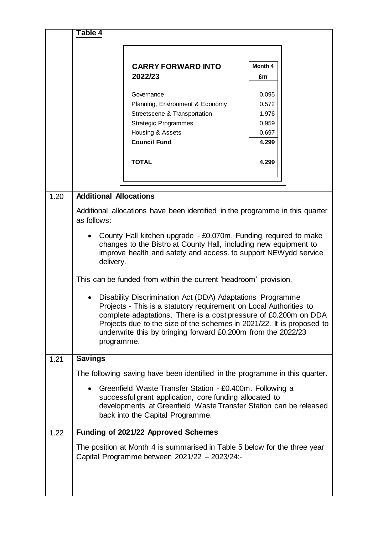|      | Table 4                       |                                                                                                                                                                                                                                                                                                                                              |         |  |
|------|-------------------------------|----------------------------------------------------------------------------------------------------------------------------------------------------------------------------------------------------------------------------------------------------------------------------------------------------------------------------------------------|---------|--|
|      |                               |                                                                                                                                                                                                                                                                                                                                              |         |  |
|      |                               | <b>CARRY FORWARD INTO</b>                                                                                                                                                                                                                                                                                                                    | Month 4 |  |
|      |                               | 2022/23                                                                                                                                                                                                                                                                                                                                      | £m      |  |
|      |                               | Governance                                                                                                                                                                                                                                                                                                                                   | 0.095   |  |
|      |                               | Planning, Environment & Economy                                                                                                                                                                                                                                                                                                              | 0.572   |  |
|      |                               | Streetscene & Transportation                                                                                                                                                                                                                                                                                                                 | 1.976   |  |
|      |                               | <b>Strategic Programmes</b>                                                                                                                                                                                                                                                                                                                  | 0.959   |  |
|      |                               | Housing & Assets                                                                                                                                                                                                                                                                                                                             | 0.697   |  |
|      |                               | <b>Council Fund</b>                                                                                                                                                                                                                                                                                                                          | 4.299   |  |
|      |                               | <b>TOTAL</b>                                                                                                                                                                                                                                                                                                                                 | 4.299   |  |
|      |                               |                                                                                                                                                                                                                                                                                                                                              |         |  |
|      |                               |                                                                                                                                                                                                                                                                                                                                              |         |  |
| 1.20 | <b>Additional Allocations</b> |                                                                                                                                                                                                                                                                                                                                              |         |  |
|      | as follows:                   | Additional allocations have been identified in the programme in this quarter                                                                                                                                                                                                                                                                 |         |  |
|      | delivery.                     | County Hall kitchen upgrade - £0.070m. Funding required to make<br>changes to the Bistro at County Hall, including new equipment to<br>improve health and safety and access, to support NEWydd service                                                                                                                                       |         |  |
|      |                               | This can be funded from within the current 'headroom' provision.                                                                                                                                                                                                                                                                             |         |  |
|      | programme.                    | Disability Discrimination Act (DDA) Adaptations Programme<br>Projects - This is a statutory requirement on Local Authorities to<br>complete adaptations. There is a cost pressure of £0.200m on DDA<br>Projects due to the size of the schemes in 2021/22. It is proposed to<br>underwrite this by bringing forward £0.200m from the 2022/23 |         |  |
| 1.21 | <b>Savings</b>                |                                                                                                                                                                                                                                                                                                                                              |         |  |
|      |                               | The following saving have been identified in the programme in this quarter.                                                                                                                                                                                                                                                                  |         |  |
|      |                               | Greenfield Waste Transfer Station - £0.400m. Following a<br>successful grant application, core funding allocated to<br>developments at Greenfield Waste Transfer Station can be released<br>back into the Capital Programme.                                                                                                                 |         |  |
| 1.22 |                               | Funding of 2021/22 Approved Schemes                                                                                                                                                                                                                                                                                                          |         |  |
|      |                               | The position at Month 4 is summarised in Table 5 below for the three year<br>Capital Programme between 2021/22 - 2023/24:-                                                                                                                                                                                                                   |         |  |
|      |                               |                                                                                                                                                                                                                                                                                                                                              |         |  |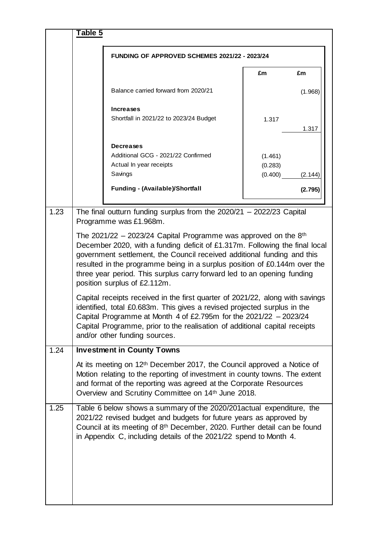|      | Table 5 |                                                                                                                                                                                                                                                                                                                                                                                                                     |                               |         |
|------|---------|---------------------------------------------------------------------------------------------------------------------------------------------------------------------------------------------------------------------------------------------------------------------------------------------------------------------------------------------------------------------------------------------------------------------|-------------------------------|---------|
|      |         | <b>FUNDING OF APPROVED SCHEMES 2021/22 - 2023/24</b>                                                                                                                                                                                                                                                                                                                                                                |                               |         |
|      |         |                                                                                                                                                                                                                                                                                                                                                                                                                     | £m                            | £m      |
|      |         | Balance carried forward from 2020/21                                                                                                                                                                                                                                                                                                                                                                                |                               | (1.968) |
|      |         | <b>Increases</b><br>Shortfall in 2021/22 to 2023/24 Budget                                                                                                                                                                                                                                                                                                                                                          | 1.317                         | 1.317   |
|      |         | Decreases<br>Additional GCG - 2021/22 Confirmed<br>Actual In year receipts<br>Savings<br><b>Funding - (Available)/Shortfall</b>                                                                                                                                                                                                                                                                                     | (1.461)<br>(0.283)<br>(0.400) | (2.144) |
|      |         |                                                                                                                                                                                                                                                                                                                                                                                                                     |                               | (2.795) |
| 1.23 |         | The final outturn funding surplus from the $2020/21 - 2022/23$ Capital<br>Programme was £1.968m.                                                                                                                                                                                                                                                                                                                    |                               |         |
|      |         | The 2021/22 – 2023/24 Capital Programme was approved on the $8th$<br>December 2020, with a funding deficit of £1.317m. Following the final local<br>government settlement, the Council received additional funding and this<br>resulted in the programme being in a surplus position of £0.144m over the<br>three year period. This surplus carry forward led to an opening funding<br>position surplus of £2.112m. |                               |         |
|      |         | Capital receipts received in the first quarter of 2021/22, along with savings<br>identified, total £0.683m. This gives a revised projected surplus in the<br>Capital Programme at Month 4 of £2.795m for the $2021/22 - 2023/24$<br>Capital Programme, prior to the realisation of additional capital receipts<br>and/or other funding sources.                                                                     |                               |         |
| 1.24 |         | <b>Investment in County Towns</b>                                                                                                                                                                                                                                                                                                                                                                                   |                               |         |
|      |         | At its meeting on 12 <sup>th</sup> December 2017, the Council approved a Notice of<br>Motion relating to the reporting of investment in county towns. The extent<br>and format of the reporting was agreed at the Corporate Resources<br>Overview and Scrutiny Committee on 14th June 2018.                                                                                                                         |                               |         |
| 1.25 |         | Table 6 below shows a summary of the 2020/201 actual expenditure, the<br>2021/22 revised budget and budgets for future years as approved by<br>Council at its meeting of 8th December, 2020. Further detail can be found<br>in Appendix C, including details of the 2021/22 spend to Month 4.                                                                                                                       |                               |         |
|      |         |                                                                                                                                                                                                                                                                                                                                                                                                                     |                               |         |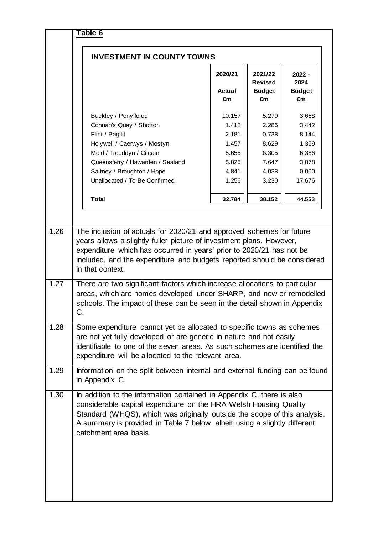| <b>INVESTMENT IN COUNTY TOWNS</b>                                                                                                                                                                                                                                                                                                                                                                                                                                                                                                                         |                                                                       |                                                                      |                                                                       |
|-----------------------------------------------------------------------------------------------------------------------------------------------------------------------------------------------------------------------------------------------------------------------------------------------------------------------------------------------------------------------------------------------------------------------------------------------------------------------------------------------------------------------------------------------------------|-----------------------------------------------------------------------|----------------------------------------------------------------------|-----------------------------------------------------------------------|
|                                                                                                                                                                                                                                                                                                                                                                                                                                                                                                                                                           | 2020/21<br><b>Actual</b><br>£m                                        | 2021/22<br><b>Revised</b><br><b>Budget</b><br>£m                     | $2022 -$<br>2024<br><b>Budget</b><br>£m                               |
| Buckley / Penyffordd<br>Connah's Quay / Shotton<br>Flint / Bagillt<br>Holywell / Caerwys / Mostyn<br>Mold / Treuddyn / Cilcain<br>Queensferry / Hawarden / Sealand<br>Saltney / Broughton / Hope<br>Unallocated / To Be Confirmed                                                                                                                                                                                                                                                                                                                         | 10.157<br>1.412<br>2.181<br>1.457<br>5.655<br>5.825<br>4.841<br>1.256 | 5.279<br>2.286<br>0.738<br>8.629<br>6.305<br>7.647<br>4.038<br>3.230 | 3.668<br>3.442<br>8.144<br>1.359<br>6.386<br>3.878<br>0.000<br>17.676 |
| <b>Total</b>                                                                                                                                                                                                                                                                                                                                                                                                                                                                                                                                              | 32.784                                                                | 38.152                                                               | 44.553                                                                |
|                                                                                                                                                                                                                                                                                                                                                                                                                                                                                                                                                           |                                                                       | years allows a slightly fuller picture of investment plans. However, |                                                                       |
| expenditure which has occurred in years' prior to 2020/21 has not be<br>included, and the expenditure and budgets reported should be considered<br>in that context.<br>There are two significant factors which increase allocations to particular<br>areas, which are homes developed under SHARP, and new or remodelled<br>schools. The impact of these can be seen in the detail shown in Appendix<br>C<br>Some expenditure cannot yet be allocated to specific towns as schemes<br>are not yet fully developed or are generic in nature and not easily |                                                                       |                                                                      |                                                                       |
| identifiable to one of the seven areas. As such schemes are identified the<br>expenditure will be allocated to the relevant area.<br>Information on the split between internal and external funding can be found<br>in Appendix C.                                                                                                                                                                                                                                                                                                                        |                                                                       |                                                                      |                                                                       |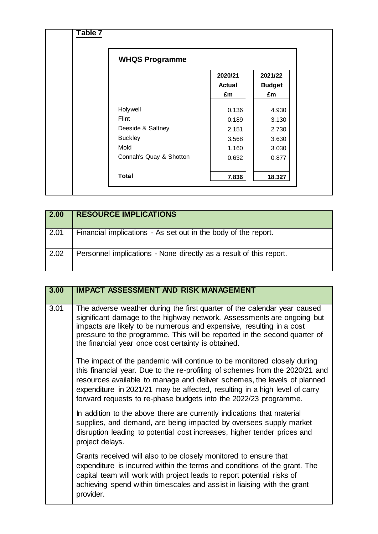| <b>WHQS Programme</b>   |                          |                          |
|-------------------------|--------------------------|--------------------------|
|                         | 2020/21<br><b>Actual</b> | 2021/22<br><b>Budget</b> |
|                         | £m                       | £m                       |
| Holywell                | 0.136                    | 4.930                    |
| Flint                   | 0.189                    | 3.130                    |
| Deeside & Saltney       | 2.151                    | 2.730                    |
| <b>Buckley</b>          | 3.568                    | 3.630                    |
| Mold                    | 1.160                    | 3.030                    |
| Connah's Quay & Shotton | 0.632                    | 0.877                    |
| <b>Total</b>            | 7.836                    | 18.327                   |

| 2.00 | <b>RESOURCE IMPLICATIONS</b>                                       |
|------|--------------------------------------------------------------------|
| 2.01 | Financial implications - As set out in the body of the report.     |
| 2.02 | Personnel implications - None directly as a result of this report. |

| 3.00 | <b>IMPACT ASSESSMENT AND RISK MANAGEMENT</b>                                                                                                                                                                                                                                                                                                                                          |
|------|---------------------------------------------------------------------------------------------------------------------------------------------------------------------------------------------------------------------------------------------------------------------------------------------------------------------------------------------------------------------------------------|
| 3.01 | The adverse weather during the first quarter of the calendar year caused<br>significant damage to the highway network. Assessments are ongoing but<br>impacts are likely to be numerous and expensive, resulting in a cost<br>pressure to the programme. This will be reported in the second quarter of<br>the financial year once cost certainty is obtained.                        |
|      | The impact of the pandemic will continue to be monitored closely during<br>this financial year. Due to the re-profiling of schemes from the 2020/21 and<br>resources available to manage and deliver schemes, the levels of planned<br>expenditure in 2021/21 may be affected, resulting in a high level of carry<br>forward requests to re-phase budgets into the 2022/23 programme. |
|      | In addition to the above there are currently indications that material<br>supplies, and demand, are being impacted by oversees supply market<br>disruption leading to potential cost increases, higher tender prices and<br>project delays.                                                                                                                                           |
|      | Grants received will also to be closely monitored to ensure that<br>expenditure is incurred within the terms and conditions of the grant. The<br>capital team will work with project leads to report potential risks of<br>achieving spend within timescales and assist in liaising with the grant<br>provider.                                                                       |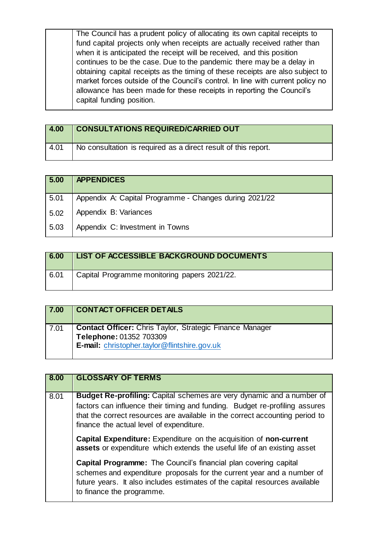| The Council has a prudent policy of allocating its own capital receipts to                                                                                                                                                                                             |  |
|------------------------------------------------------------------------------------------------------------------------------------------------------------------------------------------------------------------------------------------------------------------------|--|
| fund capital projects only when receipts are actually received rather than                                                                                                                                                                                             |  |
| when it is anticipated the receipt will be received, and this position                                                                                                                                                                                                 |  |
| continues to be the case. Due to the pandemic there may be a delay in                                                                                                                                                                                                  |  |
| obtaining capital receipts as the timing of these receipts are also subject to<br>market forces outside of the Council's control. In line with current policy no<br>allowance has been made for these receipts in reporting the Council's<br>capital funding position. |  |

| 4.00 | <b>CONSULTATIONS REQUIRED/CARRIED OUT</b>                      |
|------|----------------------------------------------------------------|
| 4.01 | No consultation is required as a direct result of this report. |

| 5.00 | <b>APPENDICES</b>                                      |
|------|--------------------------------------------------------|
| 5.01 | Appendix A: Capital Programme - Changes during 2021/22 |
| 5.02 | Appendix B: Variances                                  |
| 5.03 | Appendix C: Investment in Towns                        |

| 6.00 | <b>LIST OF ACCESSIBLE BACKGROUND DOCUMENTS</b> |
|------|------------------------------------------------|
| 6.01 | Capital Programme monitoring papers 2021/22.   |

| 7.00 | <b>CONTACT OFFICER DETAILS</b>                                                                                                             |
|------|--------------------------------------------------------------------------------------------------------------------------------------------|
| 7.01 | <b>Contact Officer:</b> Chris Taylor, Strategic Finance Manager<br>Telephone: 01352 703309<br>E-mail: christopher.taylor@flintshire.gov.uk |

| 8.00 | <b>GLOSSARY OF TERMS</b>                                                                                                                                                                                                                                                                |
|------|-----------------------------------------------------------------------------------------------------------------------------------------------------------------------------------------------------------------------------------------------------------------------------------------|
| 8.01 | <b>Budget Re-profiling:</b> Capital schemes are very dynamic and a number of<br>factors can influence their timing and funding. Budget re-profiling assures<br>that the correct resources are available in the correct accounting period to<br>finance the actual level of expenditure. |
|      | <b>Capital Expenditure:</b> Expenditure on the acquisition of non-current<br>assets or expenditure which extends the useful life of an existing asset                                                                                                                                   |
|      | <b>Capital Programme:</b> The Council's financial plan covering capital<br>schemes and expenditure proposals for the current year and a number of<br>future years. It also includes estimates of the capital resources available<br>to finance the programme.                           |